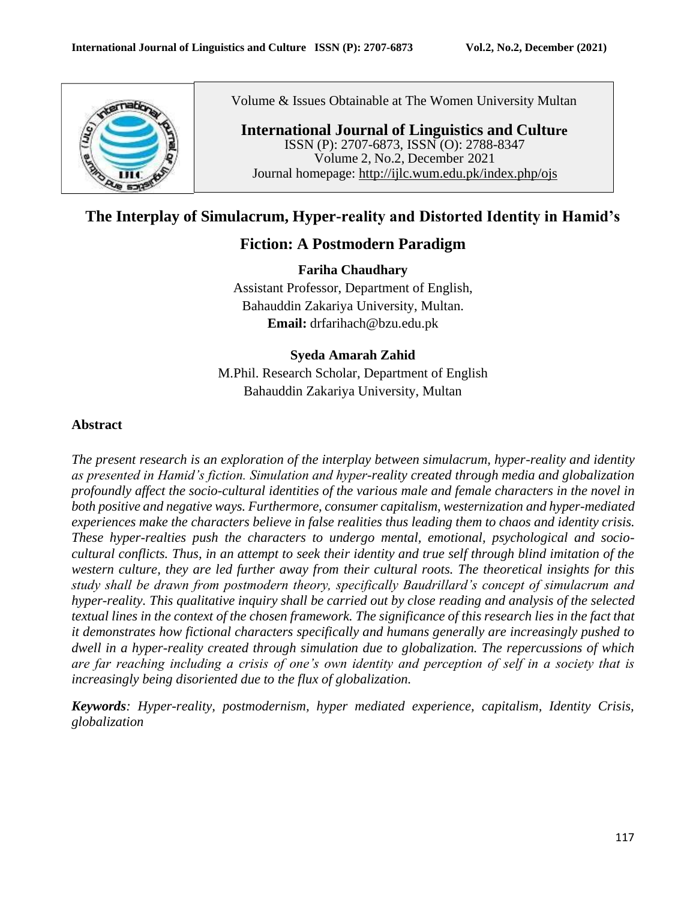

Volume & Issues Obtainable at The Women University Multan

**International Journal of Linguistics and Culture** ISSN (P): 2707-6873, ISSN (O): 2788-8347 Volume 2, No.2, December 2021 Journal homepage: <http://ijlc.wum.edu.pk/index.php/ojs>

# **The Interplay of Simulacrum, Hyper-reality and Distorted Identity in Hamid's**

# **Fiction: A Postmodern Paradigm**

**Fariha Chaudhary** Assistant Professor, Department of English, Bahauddin Zakariya University, Multan. **Email:** [drfarihach@bzu.edu.pk](mailto:drfarihach@bzu.edu.pk)

# **Syeda Amarah Zahid**

M.Phil. Research Scholar, Department of English Bahauddin Zakariya University, Multan

# **Abstract**

*The present research is an exploration of the interplay between simulacrum, hyper-reality and identity as presented in Hamid's fiction. Simulation and hyper-reality created through media and globalization profoundly affect the socio-cultural identities of the various male and female characters in the novel in both positive and negative ways. Furthermore, consumer capitalism, westernization and hyper-mediated experiences make the characters believe in false realities thus leading them to chaos and identity crisis. These hyper-realties push the characters to undergo mental, emotional, psychological and sociocultural conflicts. Thus, in an attempt to seek their identity and true self through blind imitation of the western culture, they are led further away from their cultural roots. The theoretical insights for this study shall be drawn from postmodern theory, specifically Baudrillard's concept of simulacrum and hyper-reality. This qualitative inquiry shall be carried out by close reading and analysis of the selected* textual lines in the context of the chosen framework. The significance of this research lies in the fact that *it demonstrates how fictional characters specifically and humans generally are increasingly pushed to dwell in a hyper-reality created through simulation due to globalization. The repercussions of which are far reaching including a crisis of one's own identity and perception of self in a society that is increasingly being disoriented due to the flux of globalization.*

*Keywords: Hyper-reality, postmodernism, hyper mediated experience, capitalism, Identity Crisis, globalization*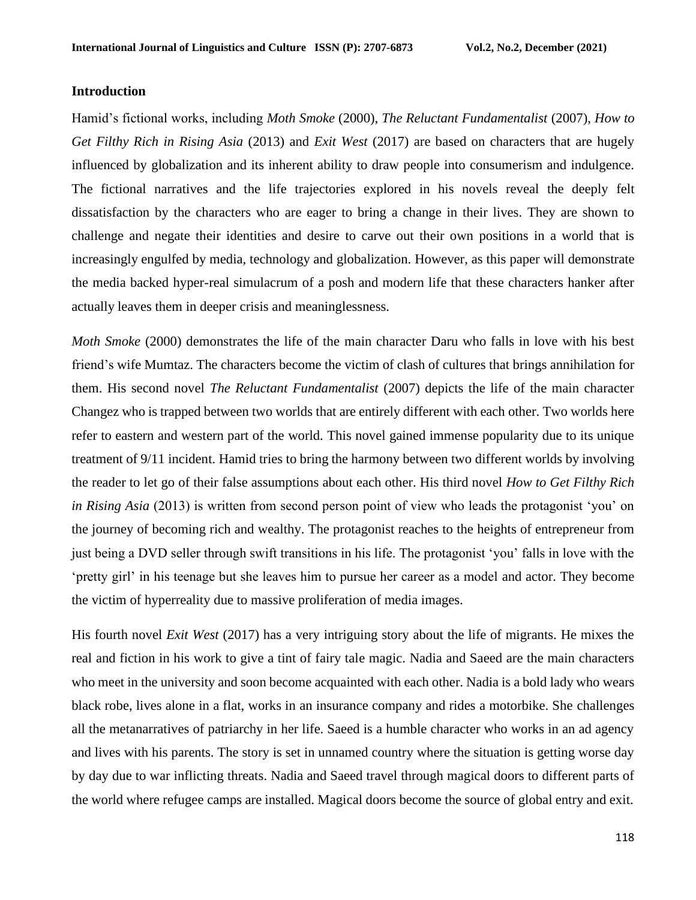## **Introduction**

Hamid's fictional works, including *Moth Smoke* (2000), *The Reluctant Fundamentalist* (2007), *How to Get Filthy Rich in Rising Asia* (2013) and *Exit West* (2017) are based on characters that are hugely influenced by globalization and its inherent ability to draw people into consumerism and indulgence. The fictional narratives and the life trajectories explored in his novels reveal the deeply felt dissatisfaction by the characters who are eager to bring a change in their lives. They are shown to challenge and negate their identities and desire to carve out their own positions in a world that is increasingly engulfed by media, technology and globalization. However, as this paper will demonstrate the media backed hyper-real simulacrum of a posh and modern life that these characters hanker after actually leaves them in deeper crisis and meaninglessness.

*Moth Smoke* (2000) demonstrates the life of the main character Daru who falls in love with his best friend's wife Mumtaz. The characters become the victim of clash of cultures that brings annihilation for them. His second novel *The Reluctant Fundamentalist* (2007) depicts the life of the main character Changez who is trapped between two worlds that are entirely different with each other. Two worlds here refer to eastern and western part of the world. This novel gained immense popularity due to its unique treatment of 9/11 incident. Hamid tries to bring the harmony between two different worlds by involving the reader to let go of their false assumptions about each other. His third novel *How to Get Filthy Rich in Rising Asia* (2013) is written from second person point of view who leads the protagonist 'you' on the journey of becoming rich and wealthy. The protagonist reaches to the heights of entrepreneur from just being a DVD seller through swift transitions in his life. The protagonist 'you' falls in love with the 'pretty girl' in his teenage but she leaves him to pursue her career as a model and actor. They become the victim of hyperreality due to massive proliferation of media images.

His fourth novel *Exit West* (2017) has a very intriguing story about the life of migrants. He mixes the real and fiction in his work to give a tint of fairy tale magic. Nadia and Saeed are the main characters who meet in the university and soon become acquainted with each other. Nadia is a bold lady who wears black robe, lives alone in a flat, works in an insurance company and rides a motorbike. She challenges all the metanarratives of patriarchy in her life. Saeed is a humble character who works in an ad agency and lives with his parents. The story is set in unnamed country where the situation is getting worse day by day due to war inflicting threats. Nadia and Saeed travel through magical doors to different parts of the world where refugee camps are installed. Magical doors become the source of global entry and exit.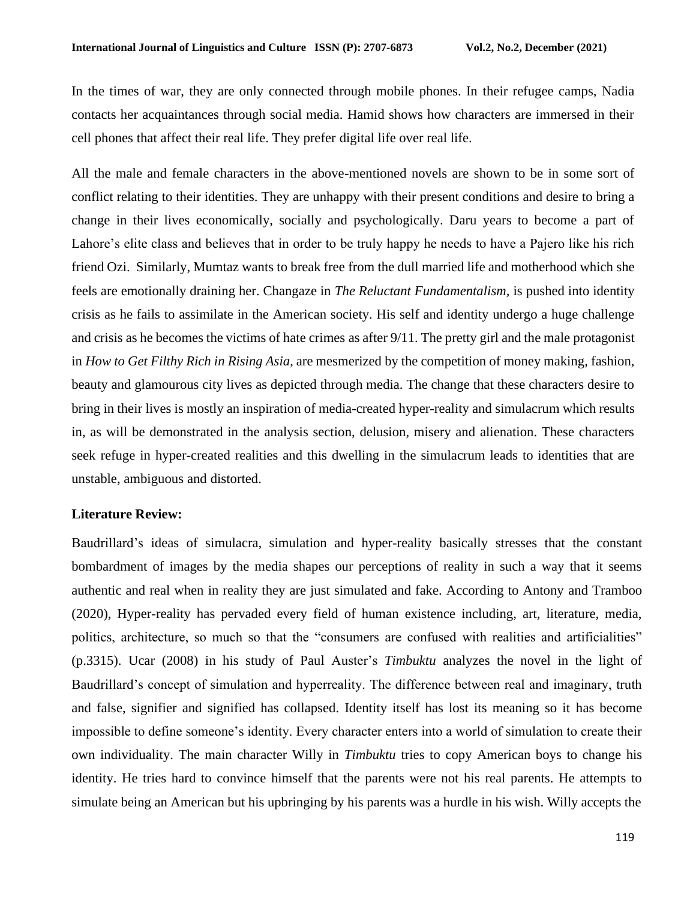In the times of war, they are only connected through mobile phones. In their refugee camps, Nadia contacts her acquaintances through social media. Hamid shows how characters are immersed in their cell phones that affect their real life. They prefer digital life over real life.

All the male and female characters in the above-mentioned novels are shown to be in some sort of conflict relating to their identities. They are unhappy with their present conditions and desire to bring a change in their lives economically, socially and psychologically. Daru years to become a part of Lahore's elite class and believes that in order to be truly happy he needs to have a Pajero like his rich friend Ozi. Similarly, Mumtaz wants to break free from the dull married life and motherhood which she feels are emotionally draining her. Changaze in *The Reluctant Fundamentalism,* is pushed into identity crisis as he fails to assimilate in the American society. His self and identity undergo a huge challenge and crisis as he becomes the victims of hate crimes as after 9/11. The pretty girl and the male protagonist in *How to Get Filthy Rich in Rising Asia*, are mesmerized by the competition of money making, fashion, beauty and glamourous city lives as depicted through media. The change that these characters desire to bring in their lives is mostly an inspiration of media-created hyper-reality and simulacrum which results in, as will be demonstrated in the analysis section, delusion, misery and alienation. These characters seek refuge in hyper-created realities and this dwelling in the simulacrum leads to identities that are unstable, ambiguous and distorted.

# **Literature Review:**

Baudrillard's ideas of simulacra, simulation and hyper-reality basically stresses that the constant bombardment of images by the media shapes our perceptions of reality in such a way that it seems authentic and real when in reality they are just simulated and fake. According to Antony and Tramboo (2020), Hyper-reality has pervaded every field of human existence including, art, literature, media, politics, architecture, so much so that the "consumers are confused with realities and artificialities" (p.3315). Ucar (2008) in his study of Paul Auster's *Timbuktu* analyzes the novel in the light of Baudrillard's concept of simulation and hyperreality. The difference between real and imaginary, truth and false, signifier and signified has collapsed. Identity itself has lost its meaning so it has become impossible to define someone's identity. Every character enters into a world of simulation to create their own individuality. The main character Willy in *Timbuktu* tries to copy American boys to change his identity. He tries hard to convince himself that the parents were not his real parents. He attempts to simulate being an American but his upbringing by his parents was a hurdle in his wish. Willy accepts the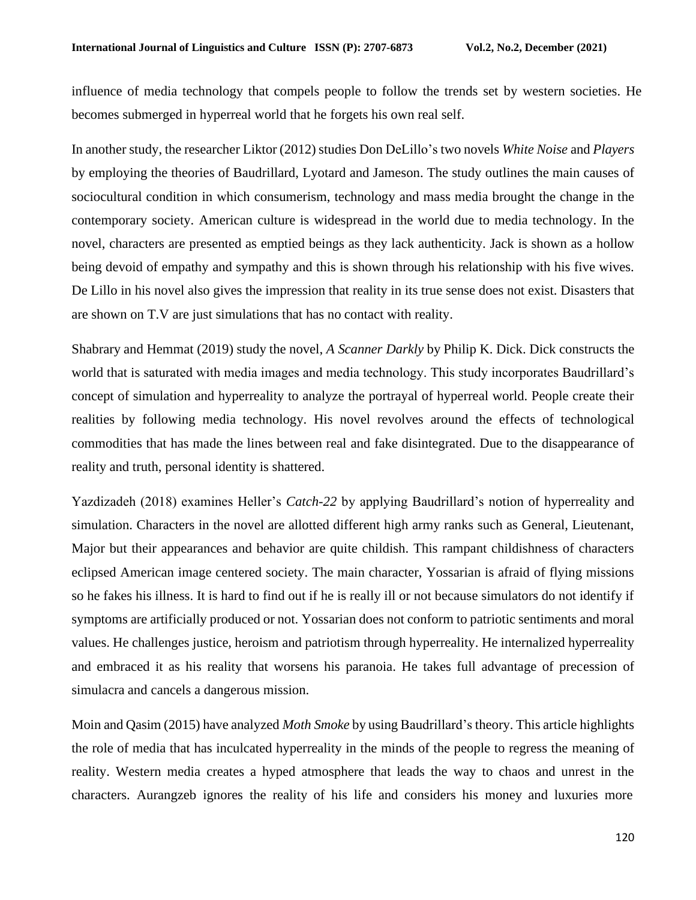influence of media technology that compels people to follow the trends set by western societies. He becomes submerged in hyperreal world that he forgets his own real self.

In another study, the researcher Liktor (2012) studies Don DeLillo's two novels *White Noise* and *Players* by employing the theories of Baudrillard, Lyotard and Jameson. The study outlines the main causes of sociocultural condition in which consumerism, technology and mass media brought the change in the contemporary society. American culture is widespread in the world due to media technology. In the novel, characters are presented as emptied beings as they lack authenticity. Jack is shown as a hollow being devoid of empathy and sympathy and this is shown through his relationship with his five wives. De Lillo in his novel also gives the impression that reality in its true sense does not exist. Disasters that are shown on T.V are just simulations that has no contact with reality.

Shabrary and Hemmat (2019) study the novel, *A Scanner Darkly* by Philip K. Dick. Dick constructs the world that is saturated with media images and media technology. This study incorporates Baudrillard's concept of simulation and hyperreality to analyze the portrayal of hyperreal world. People create their realities by following media technology. His novel revolves around the effects of technological commodities that has made the lines between real and fake disintegrated. Due to the disappearance of reality and truth, personal identity is shattered.

Yazdizadeh (2018) examines Heller's *Catch-22* by applying Baudrillard's notion of hyperreality and simulation. Characters in the novel are allotted different high army ranks such as General, Lieutenant, Major but their appearances and behavior are quite childish. This rampant childishness of characters eclipsed American image centered society. The main character, Yossarian is afraid of flying missions so he fakes his illness. It is hard to find out if he is really ill or not because simulators do not identify if symptoms are artificially produced or not. Yossarian does not conform to patriotic sentiments and moral values. He challenges justice, heroism and patriotism through hyperreality. He internalized hyperreality and embraced it as his reality that worsens his paranoia. He takes full advantage of precession of simulacra and cancels a dangerous mission.

Moin and Qasim (2015) have analyzed *Moth Smoke* by using Baudrillard's theory. This article highlights the role of media that has inculcated hyperreality in the minds of the people to regress the meaning of reality. Western media creates a hyped atmosphere that leads the way to chaos and unrest in the characters. Aurangzeb ignores the reality of his life and considers his money and luxuries more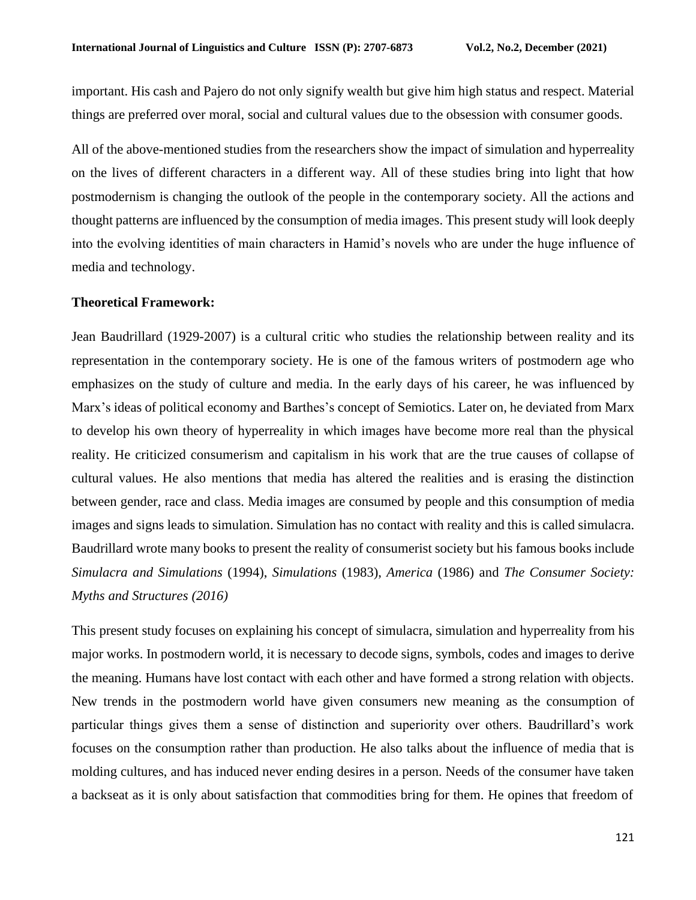important. His cash and Pajero do not only signify wealth but give him high status and respect. Material things are preferred over moral, social and cultural values due to the obsession with consumer goods.

All of the above-mentioned studies from the researchers show the impact of simulation and hyperreality on the lives of different characters in a different way. All of these studies bring into light that how postmodernism is changing the outlook of the people in the contemporary society. All the actions and thought patterns are influenced by the consumption of media images. This present study will look deeply into the evolving identities of main characters in Hamid's novels who are under the huge influence of media and technology.

### **Theoretical Framework:**

Jean Baudrillard (1929-2007) is a cultural critic who studies the relationship between reality and its representation in the contemporary society. He is one of the famous writers of postmodern age who emphasizes on the study of culture and media. In the early days of his career, he was influenced by Marx's ideas of political economy and Barthes's concept of Semiotics. Later on, he deviated from Marx to develop his own theory of hyperreality in which images have become more real than the physical reality. He criticized consumerism and capitalism in his work that are the true causes of collapse of cultural values. He also mentions that media has altered the realities and is erasing the distinction between gender, race and class. Media images are consumed by people and this consumption of media images and signs leads to simulation. Simulation has no contact with reality and this is called simulacra. Baudrillard wrote many books to present the reality of consumerist society but his famous books include *Simulacra and Simulations* (1994), *Simulations* (1983), *America* (1986) and *The Consumer Society: Myths and Structures (2016)*

This present study focuses on explaining his concept of simulacra, simulation and hyperreality from his major works. In postmodern world, it is necessary to decode signs, symbols, codes and images to derive the meaning. Humans have lost contact with each other and have formed a strong relation with objects. New trends in the postmodern world have given consumers new meaning as the consumption of particular things gives them a sense of distinction and superiority over others. Baudrillard's work focuses on the consumption rather than production. He also talks about the influence of media that is molding cultures, and has induced never ending desires in a person. Needs of the consumer have taken a backseat as it is only about satisfaction that commodities bring for them. He opines that freedom of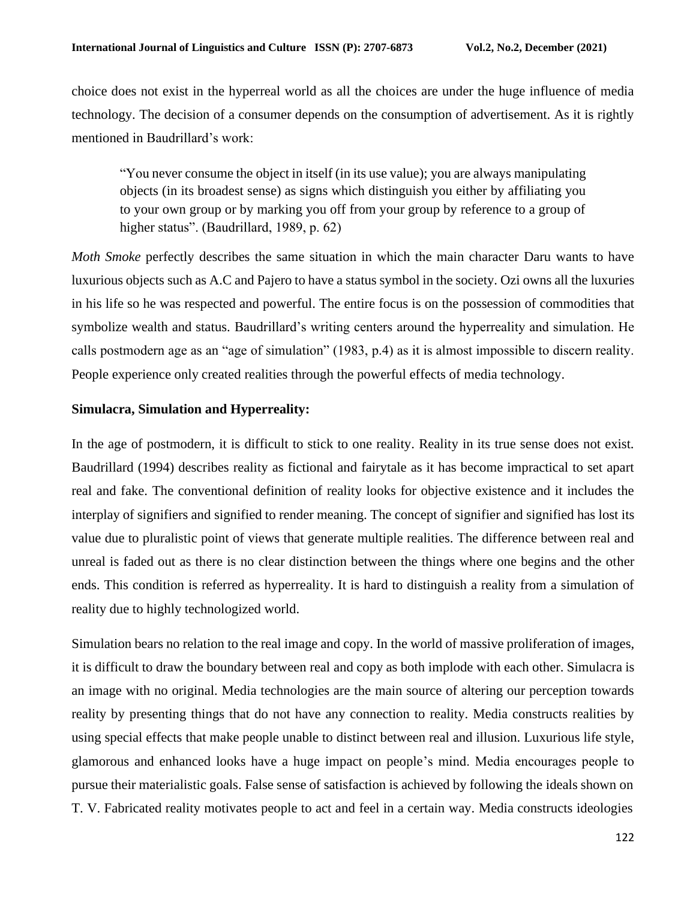choice does not exist in the hyperreal world as all the choices are under the huge influence of media technology. The decision of a consumer depends on the consumption of advertisement. As it is rightly mentioned in Baudrillard's work:

"You never consume the object in itself (in its use value); you are always manipulating objects (in its broadest sense) as signs which distinguish you either by affiliating you to your own group or by marking you off from your group by reference to a group of higher status". (Baudrillard, 1989, p. 62)

*Moth Smoke perfectly describes the same situation in which the main character Daru wants to have* luxurious objects such as A.C and Pajero to have a status symbol in the society. Ozi owns all the luxuries in his life so he was respected and powerful. The entire focus is on the possession of commodities that symbolize wealth and status. Baudrillard's writing centers around the hyperreality and simulation. He calls postmodern age as an "age of simulation" (1983, p.4) as it is almost impossible to discern reality. People experience only created realities through the powerful effects of media technology.

# **Simulacra, Simulation and Hyperreality:**

In the age of postmodern, it is difficult to stick to one reality. Reality in its true sense does not exist. Baudrillard (1994) describes reality as fictional and fairytale as it has become impractical to set apart real and fake. The conventional definition of reality looks for objective existence and it includes the interplay of signifiers and signified to render meaning. The concept of signifier and signified has lost its value due to pluralistic point of views that generate multiple realities. The difference between real and unreal is faded out as there is no clear distinction between the things where one begins and the other ends. This condition is referred as hyperreality. It is hard to distinguish a reality from a simulation of reality due to highly technologized world.

Simulation bears no relation to the real image and copy. In the world of massive proliferation of images, it is difficult to draw the boundary between real and copy as both implode with each other. Simulacra is an image with no original. Media technologies are the main source of altering our perception towards reality by presenting things that do not have any connection to reality. Media constructs realities by using special effects that make people unable to distinct between real and illusion. Luxurious life style, glamorous and enhanced looks have a huge impact on people's mind. Media encourages people to pursue their materialistic goals. False sense of satisfaction is achieved by following the ideals shown on T. V. Fabricated reality motivates people to act and feel in a certain way. Media constructs ideologies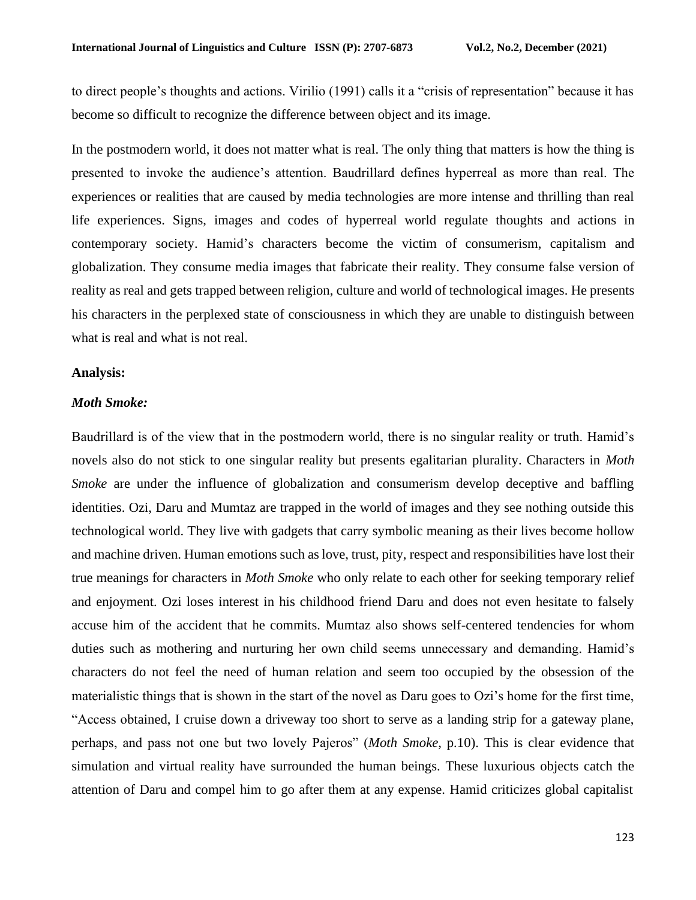to direct people's thoughts and actions. Virilio (1991) calls it a "crisis of representation" because it has become so difficult to recognize the difference between object and its image.

In the postmodern world, it does not matter what is real. The only thing that matters is how the thing is presented to invoke the audience's attention. Baudrillard defines hyperreal as more than real. The experiences or realities that are caused by media technologies are more intense and thrilling than real life experiences. Signs, images and codes of hyperreal world regulate thoughts and actions in contemporary society. Hamid's characters become the victim of consumerism, capitalism and globalization. They consume media images that fabricate their reality. They consume false version of reality as real and gets trapped between religion, culture and world of technological images. He presents his characters in the perplexed state of consciousness in which they are unable to distinguish between what is real and what is not real.

#### **Analysis:**

### *Moth Smoke:*

Baudrillard is of the view that in the postmodern world, there is no singular reality or truth. Hamid's novels also do not stick to one singular reality but presents egalitarian plurality. Characters in *Moth Smoke* are under the influence of globalization and consumerism develop deceptive and baffling identities. Ozi, Daru and Mumtaz are trapped in the world of images and they see nothing outside this technological world. They live with gadgets that carry symbolic meaning as their lives become hollow and machine driven. Human emotions such as love, trust, pity, respect and responsibilities have lost their true meanings for characters in *Moth Smoke* who only relate to each other for seeking temporary relief and enjoyment. Ozi loses interest in his childhood friend Daru and does not even hesitate to falsely accuse him of the accident that he commits. Mumtaz also shows self-centered tendencies for whom duties such as mothering and nurturing her own child seems unnecessary and demanding. Hamid's characters do not feel the need of human relation and seem too occupied by the obsession of the materialistic things that is shown in the start of the novel as Daru goes to Ozi's home for the first time, "Access obtained, I cruise down a driveway too short to serve as a landing strip for a gateway plane, perhaps, and pass not one but two lovely Pajeros" (*Moth Smoke*, p.10). This is clear evidence that simulation and virtual reality have surrounded the human beings. These luxurious objects catch the attention of Daru and compel him to go after them at any expense. Hamid criticizes global capitalist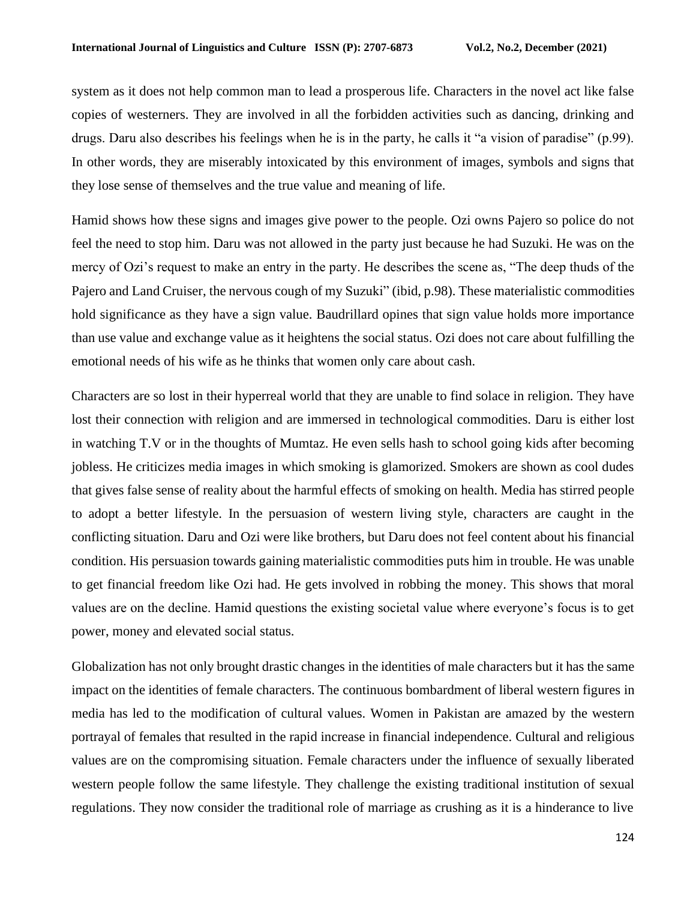system as it does not help common man to lead a prosperous life. Characters in the novel act like false copies of westerners. They are involved in all the forbidden activities such as dancing, drinking and drugs. Daru also describes his feelings when he is in the party, he calls it "a vision of paradise" (p.99). In other words, they are miserably intoxicated by this environment of images, symbols and signs that they lose sense of themselves and the true value and meaning of life.

Hamid shows how these signs and images give power to the people. Ozi owns Pajero so police do not feel the need to stop him. Daru was not allowed in the party just because he had Suzuki. He was on the mercy of Ozi's request to make an entry in the party. He describes the scene as, "The deep thuds of the Pajero and Land Cruiser, the nervous cough of my Suzuki" (ibid, p.98). These materialistic commodities hold significance as they have a sign value. Baudrillard opines that sign value holds more importance than use value and exchange value as it heightens the social status. Ozi does not care about fulfilling the emotional needs of his wife as he thinks that women only care about cash.

Characters are so lost in their hyperreal world that they are unable to find solace in religion. They have lost their connection with religion and are immersed in technological commodities. Daru is either lost in watching T.V or in the thoughts of Mumtaz. He even sells hash to school going kids after becoming jobless. He criticizes media images in which smoking is glamorized. Smokers are shown as cool dudes that gives false sense of reality about the harmful effects of smoking on health. Media has stirred people to adopt a better lifestyle. In the persuasion of western living style, characters are caught in the conflicting situation. Daru and Ozi were like brothers, but Daru does not feel content about his financial condition. His persuasion towards gaining materialistic commodities puts him in trouble. He was unable to get financial freedom like Ozi had. He gets involved in robbing the money. This shows that moral values are on the decline. Hamid questions the existing societal value where everyone's focus is to get power, money and elevated social status.

Globalization has not only brought drastic changes in the identities of male characters but it has the same impact on the identities of female characters. The continuous bombardment of liberal western figures in media has led to the modification of cultural values. Women in Pakistan are amazed by the western portrayal of females that resulted in the rapid increase in financial independence. Cultural and religious values are on the compromising situation. Female characters under the influence of sexually liberated western people follow the same lifestyle. They challenge the existing traditional institution of sexual regulations. They now consider the traditional role of marriage as crushing as it is a hinderance to live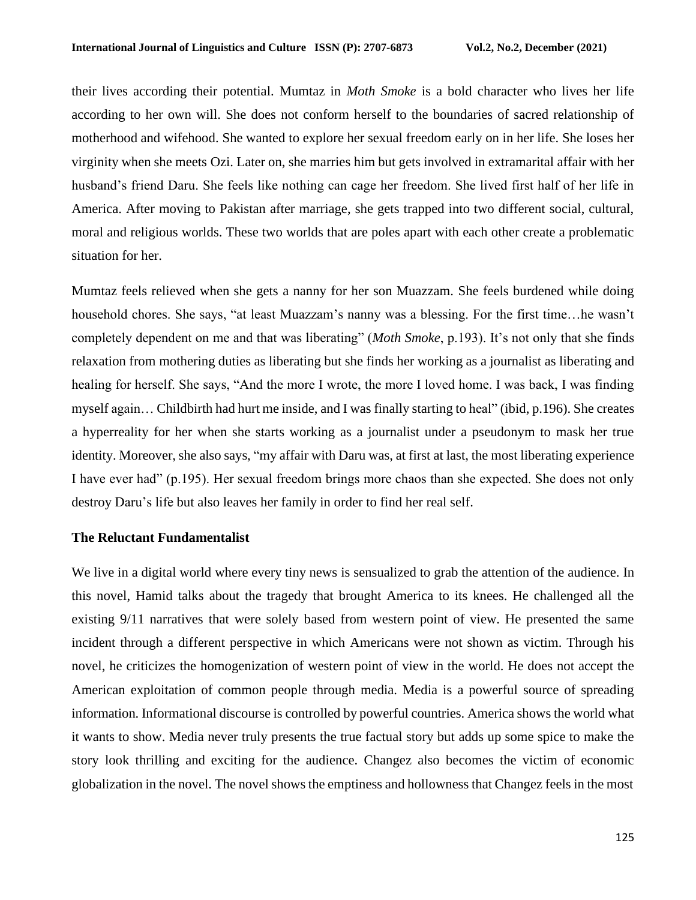their lives according their potential. Mumtaz in *Moth Smoke* is a bold character who lives her life according to her own will. She does not conform herself to the boundaries of sacred relationship of motherhood and wifehood. She wanted to explore her sexual freedom early on in her life. She loses her virginity when she meets Ozi. Later on, she marries him but gets involved in extramarital affair with her husband's friend Daru. She feels like nothing can cage her freedom. She lived first half of her life in America. After moving to Pakistan after marriage, she gets trapped into two different social, cultural, moral and religious worlds. These two worlds that are poles apart with each other create a problematic situation for her.

Mumtaz feels relieved when she gets a nanny for her son Muazzam. She feels burdened while doing household chores. She says, "at least Muazzam's nanny was a blessing. For the first time…he wasn't completely dependent on me and that was liberating" (*Moth Smoke*, p.193). It's not only that she finds relaxation from mothering duties as liberating but she finds her working as a journalist as liberating and healing for herself. She says, "And the more I wrote, the more I loved home. I was back, I was finding myself again… Childbirth had hurt me inside, and I was finally starting to heal" (ibid, p.196). She creates a hyperreality for her when she starts working as a journalist under a pseudonym to mask her true identity. Moreover, she also says, "my affair with Daru was, at first at last, the most liberating experience I have ever had" (p.195). Her sexual freedom brings more chaos than she expected. She does not only destroy Daru's life but also leaves her family in order to find her real self.

### **The Reluctant Fundamentalist**

We live in a digital world where every tiny news is sensualized to grab the attention of the audience. In this novel, Hamid talks about the tragedy that brought America to its knees. He challenged all the existing 9/11 narratives that were solely based from western point of view. He presented the same incident through a different perspective in which Americans were not shown as victim. Through his novel, he criticizes the homogenization of western point of view in the world. He does not accept the American exploitation of common people through media. Media is a powerful source of spreading information. Informational discourse is controlled by powerful countries. America shows the world what it wants to show. Media never truly presents the true factual story but adds up some spice to make the story look thrilling and exciting for the audience. Changez also becomes the victim of economic globalization in the novel. The novel shows the emptiness and hollowness that Changez feels in the most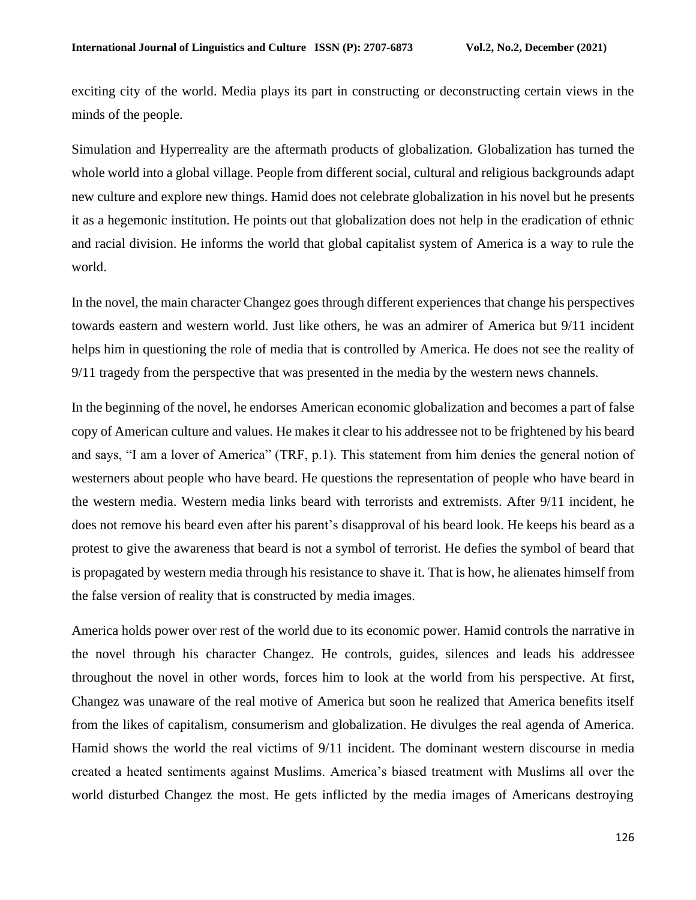exciting city of the world. Media plays its part in constructing or deconstructing certain views in the minds of the people.

Simulation and Hyperreality are the aftermath products of globalization. Globalization has turned the whole world into a global village. People from different social, cultural and religious backgrounds adapt new culture and explore new things. Hamid does not celebrate globalization in his novel but he presents it as a hegemonic institution. He points out that globalization does not help in the eradication of ethnic and racial division. He informs the world that global capitalist system of America is a way to rule the world.

In the novel, the main character Changez goes through different experiences that change his perspectives towards eastern and western world. Just like others, he was an admirer of America but 9/11 incident helps him in questioning the role of media that is controlled by America. He does not see the reality of 9/11 tragedy from the perspective that was presented in the media by the western news channels.

In the beginning of the novel, he endorses American economic globalization and becomes a part of false copy of American culture and values. He makes it clear to his addressee not to be frightened by his beard and says, "I am a lover of America" (TRF, p.1). This statement from him denies the general notion of westerners about people who have beard. He questions the representation of people who have beard in the western media. Western media links beard with terrorists and extremists. After 9/11 incident, he does not remove his beard even after his parent's disapproval of his beard look. He keeps his beard as a protest to give the awareness that beard is not a symbol of terrorist. He defies the symbol of beard that is propagated by western media through his resistance to shave it. That is how, he alienates himself from the false version of reality that is constructed by media images.

America holds power over rest of the world due to its economic power. Hamid controls the narrative in the novel through his character Changez. He controls, guides, silences and leads his addressee throughout the novel in other words, forces him to look at the world from his perspective. At first, Changez was unaware of the real motive of America but soon he realized that America benefits itself from the likes of capitalism, consumerism and globalization. He divulges the real agenda of America. Hamid shows the world the real victims of 9/11 incident. The dominant western discourse in media created a heated sentiments against Muslims. America's biased treatment with Muslims all over the world disturbed Changez the most. He gets inflicted by the media images of Americans destroying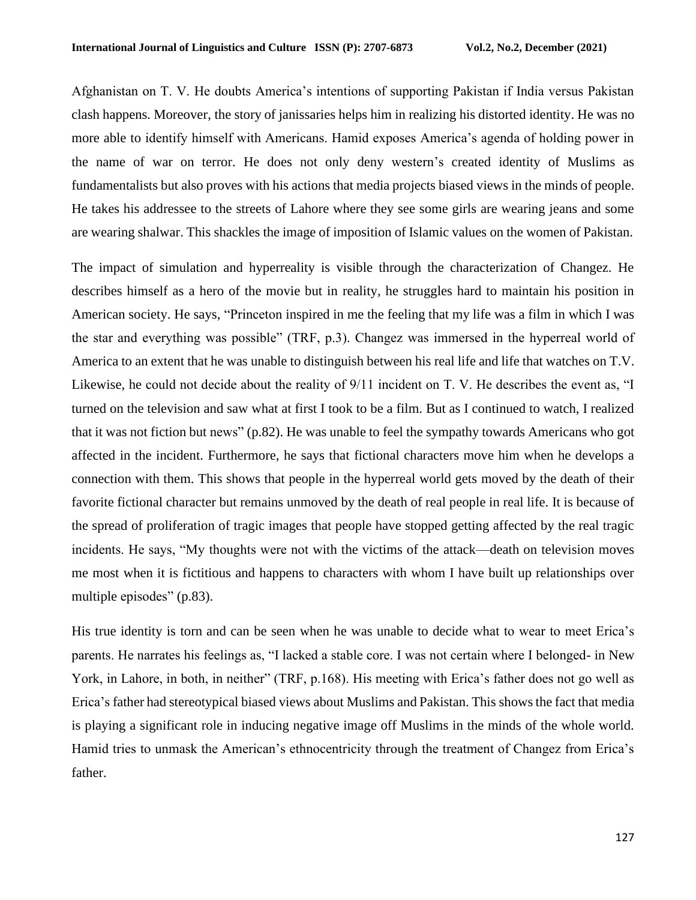Afghanistan on T. V. He doubts America's intentions of supporting Pakistan if India versus Pakistan clash happens. Moreover, the story of janissaries helps him in realizing his distorted identity. He was no more able to identify himself with Americans. Hamid exposes America's agenda of holding power in the name of war on terror. He does not only deny western's created identity of Muslims as fundamentalists but also proves with his actions that media projects biased views in the minds of people. He takes his addressee to the streets of Lahore where they see some girls are wearing jeans and some are wearing shalwar. This shackles the image of imposition of Islamic values on the women of Pakistan.

The impact of simulation and hyperreality is visible through the characterization of Changez. He describes himself as a hero of the movie but in reality, he struggles hard to maintain his position in American society. He says, "Princeton inspired in me the feeling that my life was a film in which I was the star and everything was possible" (TRF, p.3). Changez was immersed in the hyperreal world of America to an extent that he was unable to distinguish between his real life and life that watches on T.V. Likewise, he could not decide about the reality of 9/11 incident on T. V. He describes the event as, "I turned on the television and saw what at first I took to be a film. But as I continued to watch, I realized that it was not fiction but news" (p.82). He was unable to feel the sympathy towards Americans who got affected in the incident. Furthermore, he says that fictional characters move him when he develops a connection with them. This shows that people in the hyperreal world gets moved by the death of their favorite fictional character but remains unmoved by the death of real people in real life. It is because of the spread of proliferation of tragic images that people have stopped getting affected by the real tragic incidents. He says, "My thoughts were not with the victims of the attack—death on television moves me most when it is fictitious and happens to characters with whom I have built up relationships over multiple episodes" (p.83).

His true identity is torn and can be seen when he was unable to decide what to wear to meet Erica's parents. He narrates his feelings as, "I lacked a stable core. I was not certain where I belonged- in New York, in Lahore, in both, in neither" (TRF, p.168). His meeting with Erica's father does not go well as Erica's father had stereotypical biased views about Muslims and Pakistan. This showsthe fact that media is playing a significant role in inducing negative image off Muslims in the minds of the whole world. Hamid tries to unmask the American's ethnocentricity through the treatment of Changez from Erica's father.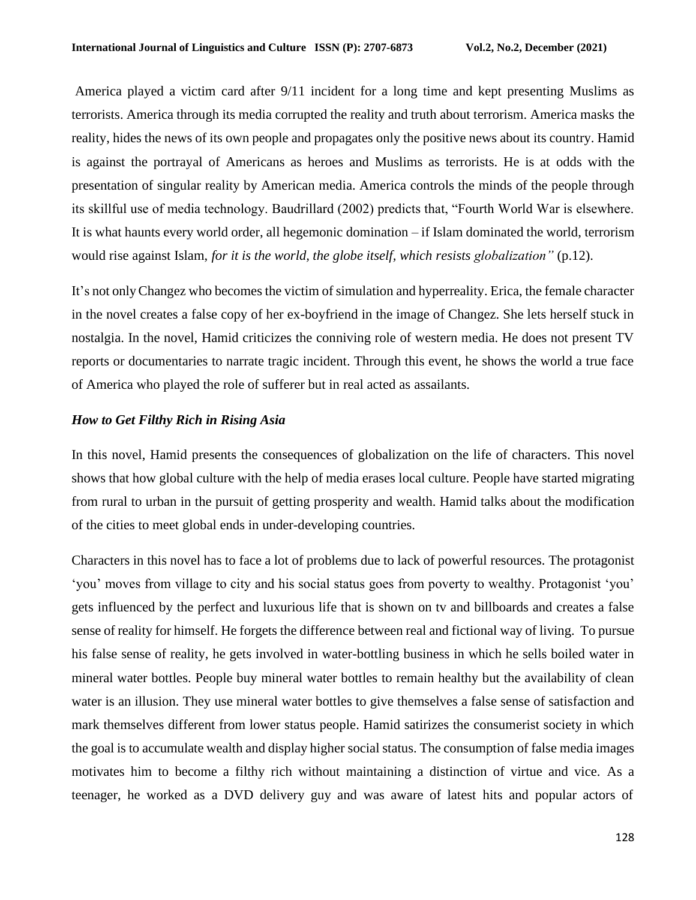America played a victim card after 9/11 incident for a long time and kept presenting Muslims as terrorists. America through its media corrupted the reality and truth about terrorism. America masks the reality, hides the news of its own people and propagates only the positive news about its country. Hamid is against the portrayal of Americans as heroes and Muslims as terrorists. He is at odds with the presentation of singular reality by American media. America controls the minds of the people through its skillful use of media technology. Baudrillard (2002) predicts that, "Fourth World War is elsewhere. It is what haunts every world order, all hegemonic domination – if Islam dominated the world, terrorism would rise against Islam, *for it is the world, the globe itself, which resists globalization"* (p.12).

It's not only Changez who becomes the victim of simulation and hyperreality. Erica, the female character in the novel creates a false copy of her ex-boyfriend in the image of Changez. She lets herself stuck in nostalgia. In the novel, Hamid criticizes the conniving role of western media. He does not present TV reports or documentaries to narrate tragic incident. Through this event, he shows the world a true face of America who played the role of sufferer but in real acted as assailants.

### *How to Get Filthy Rich in Rising Asia*

In this novel, Hamid presents the consequences of globalization on the life of characters. This novel shows that how global culture with the help of media erases local culture. People have started migrating from rural to urban in the pursuit of getting prosperity and wealth. Hamid talks about the modification of the cities to meet global ends in under-developing countries.

Characters in this novel has to face a lot of problems due to lack of powerful resources. The protagonist 'you' moves from village to city and his social status goes from poverty to wealthy. Protagonist 'you' gets influenced by the perfect and luxurious life that is shown on tv and billboards and creates a false sense of reality for himself. He forgets the difference between real and fictional way of living. To pursue his false sense of reality, he gets involved in water-bottling business in which he sells boiled water in mineral water bottles. People buy mineral water bottles to remain healthy but the availability of clean water is an illusion. They use mineral water bottles to give themselves a false sense of satisfaction and mark themselves different from lower status people. Hamid satirizes the consumerist society in which the goal is to accumulate wealth and display higher social status. The consumption of false media images motivates him to become a filthy rich without maintaining a distinction of virtue and vice. As a teenager, he worked as a DVD delivery guy and was aware of latest hits and popular actors of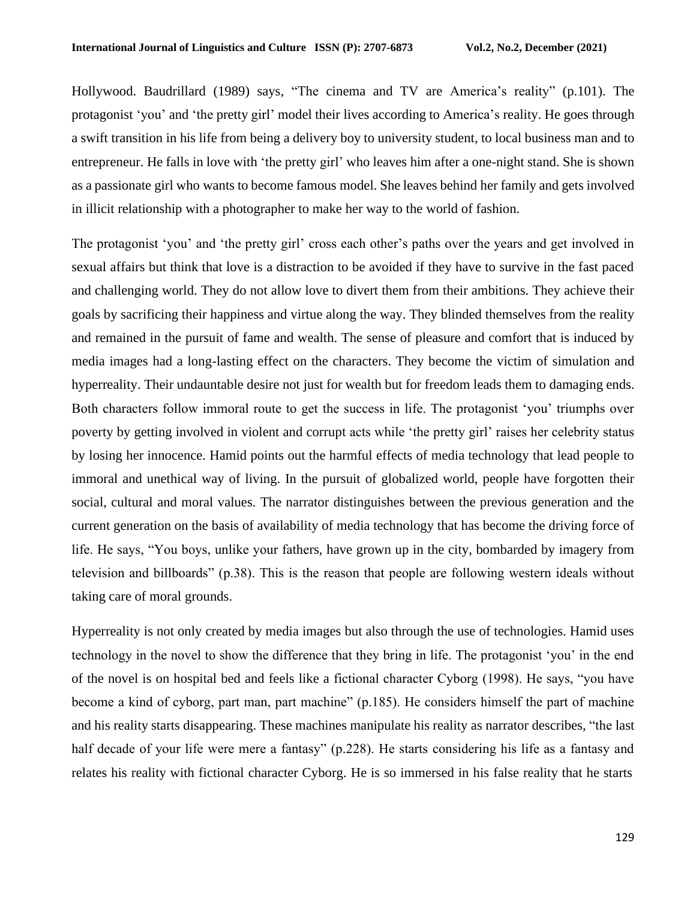Hollywood. Baudrillard (1989) says, "The cinema and TV are America's reality" (p.101). The protagonist 'you' and 'the pretty girl' model their lives according to America's reality. He goes through a swift transition in his life from being a delivery boy to university student, to local business man and to entrepreneur. He falls in love with 'the pretty girl' who leaves him after a one-night stand. She is shown as a passionate girl who wants to become famous model. She leaves behind her family and gets involved in illicit relationship with a photographer to make her way to the world of fashion.

The protagonist 'you' and 'the pretty girl' cross each other's paths over the years and get involved in sexual affairs but think that love is a distraction to be avoided if they have to survive in the fast paced and challenging world. They do not allow love to divert them from their ambitions. They achieve their goals by sacrificing their happiness and virtue along the way. They blinded themselves from the reality and remained in the pursuit of fame and wealth. The sense of pleasure and comfort that is induced by media images had a long-lasting effect on the characters. They become the victim of simulation and hyperreality. Their undauntable desire not just for wealth but for freedom leads them to damaging ends. Both characters follow immoral route to get the success in life. The protagonist 'you' triumphs over poverty by getting involved in violent and corrupt acts while 'the pretty girl' raises her celebrity status by losing her innocence. Hamid points out the harmful effects of media technology that lead people to immoral and unethical way of living. In the pursuit of globalized world, people have forgotten their social, cultural and moral values. The narrator distinguishes between the previous generation and the current generation on the basis of availability of media technology that has become the driving force of life. He says, "You boys, unlike your fathers, have grown up in the city, bombarded by imagery from television and billboards" (p.38). This is the reason that people are following western ideals without taking care of moral grounds.

Hyperreality is not only created by media images but also through the use of technologies. Hamid uses technology in the novel to show the difference that they bring in life. The protagonist 'you' in the end of the novel is on hospital bed and feels like a fictional character Cyborg (1998). He says, "you have become a kind of cyborg, part man, part machine" (p.185). He considers himself the part of machine and his reality starts disappearing. These machines manipulate his reality as narrator describes, "the last half decade of your life were mere a fantasy" (p.228). He starts considering his life as a fantasy and relates his reality with fictional character Cyborg. He is so immersed in his false reality that he starts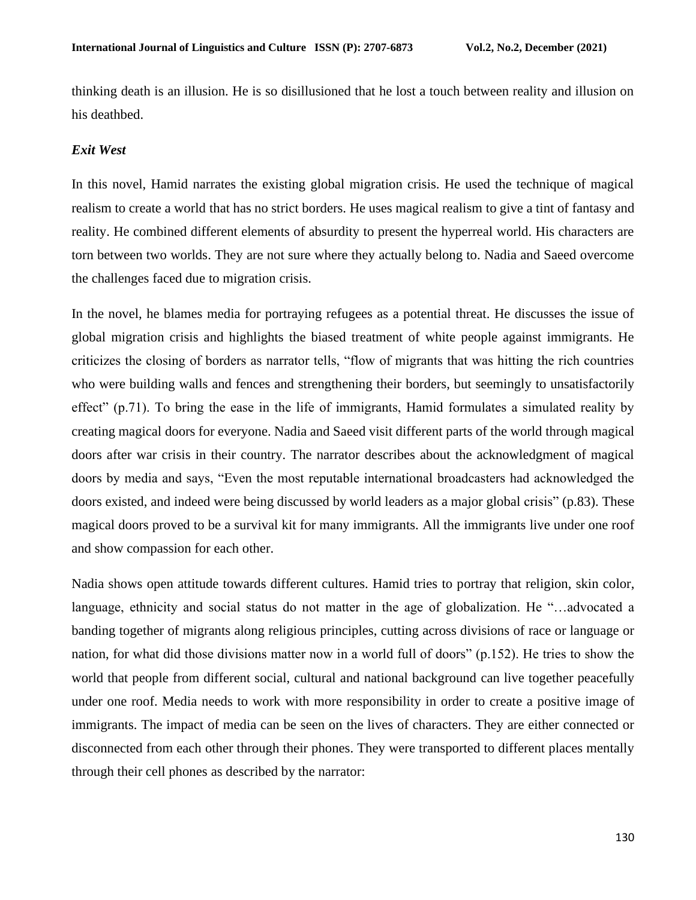thinking death is an illusion. He is so disillusioned that he lost a touch between reality and illusion on his deathbed.

## *Exit West*

In this novel, Hamid narrates the existing global migration crisis. He used the technique of magical realism to create a world that has no strict borders. He uses magical realism to give a tint of fantasy and reality. He combined different elements of absurdity to present the hyperreal world. His characters are torn between two worlds. They are not sure where they actually belong to. Nadia and Saeed overcome the challenges faced due to migration crisis.

In the novel, he blames media for portraying refugees as a potential threat. He discusses the issue of global migration crisis and highlights the biased treatment of white people against immigrants. He criticizes the closing of borders as narrator tells, "flow of migrants that was hitting the rich countries who were building walls and fences and strengthening their borders, but seemingly to unsatisfactorily effect" (p.71). To bring the ease in the life of immigrants, Hamid formulates a simulated reality by creating magical doors for everyone. Nadia and Saeed visit different parts of the world through magical doors after war crisis in their country. The narrator describes about the acknowledgment of magical doors by media and says, "Even the most reputable international broadcasters had acknowledged the doors existed, and indeed were being discussed by world leaders as a major global crisis" (p.83). These magical doors proved to be a survival kit for many immigrants. All the immigrants live under one roof and show compassion for each other.

Nadia shows open attitude towards different cultures. Hamid tries to portray that religion, skin color, language, ethnicity and social status do not matter in the age of globalization. He "…advocated a banding together of migrants along religious principles, cutting across divisions of race or language or nation, for what did those divisions matter now in a world full of doors" (p.152). He tries to show the world that people from different social, cultural and national background can live together peacefully under one roof. Media needs to work with more responsibility in order to create a positive image of immigrants. The impact of media can be seen on the lives of characters. They are either connected or disconnected from each other through their phones. They were transported to different places mentally through their cell phones as described by the narrator: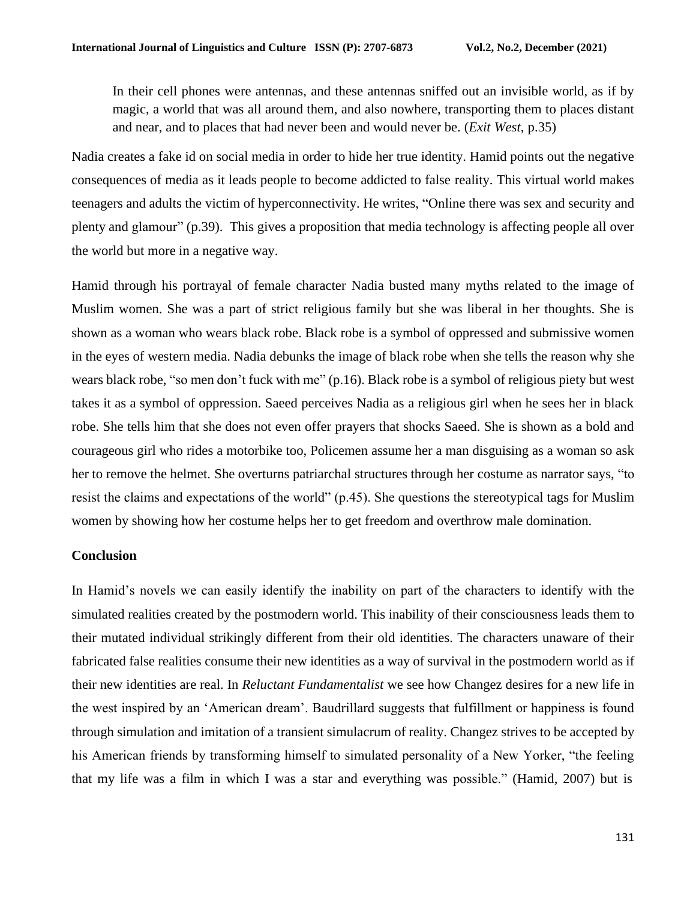In their cell phones were antennas, and these antennas sniffed out an invisible world, as if by magic, a world that was all around them, and also nowhere, transporting them to places distant and near, and to places that had never been and would never be. (*Exit West*, p.35)

Nadia creates a fake id on social media in order to hide her true identity. Hamid points out the negative consequences of media as it leads people to become addicted to false reality. This virtual world makes teenagers and adults the victim of hyperconnectivity. He writes, "Online there was sex and security and plenty and glamour" (p.39). This gives a proposition that media technology is affecting people all over the world but more in a negative way.

Hamid through his portrayal of female character Nadia busted many myths related to the image of Muslim women. She was a part of strict religious family but she was liberal in her thoughts. She is shown as a woman who wears black robe. Black robe is a symbol of oppressed and submissive women in the eyes of western media. Nadia debunks the image of black robe when she tells the reason why she wears black robe, "so men don't fuck with me" (p.16). Black robe is a symbol of religious piety but west takes it as a symbol of oppression. Saeed perceives Nadia as a religious girl when he sees her in black robe. She tells him that she does not even offer prayers that shocks Saeed. She is shown as a bold and courageous girl who rides a motorbike too, Policemen assume her a man disguising as a woman so ask her to remove the helmet. She overturns patriarchal structures through her costume as narrator says, "to resist the claims and expectations of the world" (p.45). She questions the stereotypical tags for Muslim women by showing how her costume helps her to get freedom and overthrow male domination.

# **Conclusion**

In Hamid's novels we can easily identify the inability on part of the characters to identify with the simulated realities created by the postmodern world. This inability of their consciousness leads them to their mutated individual strikingly different from their old identities. The characters unaware of their fabricated false realities consume their new identities as a way of survival in the postmodern world as if their new identities are real. In *Reluctant Fundamentalist* we see how Changez desires for a new life in the west inspired by an 'American dream'. Baudrillard suggests that fulfillment or happiness is found through simulation and imitation of a transient simulacrum of reality. Changez strives to be accepted by his American friends by transforming himself to simulated personality of a New Yorker, "the feeling that my life was a film in which I was a star and everything was possible." (Hamid, 2007) but is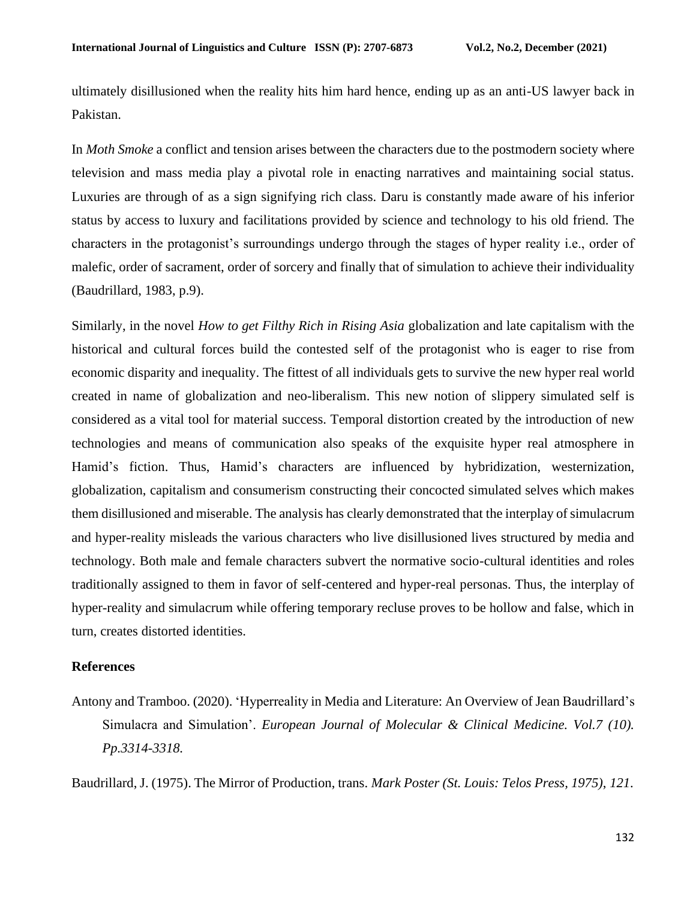ultimately disillusioned when the reality hits him hard hence, ending up as an anti-US lawyer back in Pakistan.

In *Moth Smoke* a conflict and tension arises between the characters due to the postmodern society where television and mass media play a pivotal role in enacting narratives and maintaining social status. Luxuries are through of as a sign signifying rich class. Daru is constantly made aware of his inferior status by access to luxury and facilitations provided by science and technology to his old friend. The characters in the protagonist's surroundings undergo through the stages of hyper reality i.e., order of malefic, order of sacrament, order of sorcery and finally that of simulation to achieve their individuality (Baudrillard, 1983, p.9).

Similarly, in the novel *How to get Filthy Rich in Rising Asia* globalization and late capitalism with the historical and cultural forces build the contested self of the protagonist who is eager to rise from economic disparity and inequality. The fittest of all individuals gets to survive the new hyper real world created in name of globalization and neo-liberalism. This new notion of slippery simulated self is considered as a vital tool for material success. Temporal distortion created by the introduction of new technologies and means of communication also speaks of the exquisite hyper real atmosphere in Hamid's fiction. Thus, Hamid's characters are influenced by hybridization, westernization, globalization, capitalism and consumerism constructing their concocted simulated selves which makes them disillusioned and miserable. The analysis has clearly demonstrated that the interplay of simulacrum and hyper-reality misleads the various characters who live disillusioned lives structured by media and technology. Both male and female characters subvert the normative socio-cultural identities and roles traditionally assigned to them in favor of self-centered and hyper-real personas. Thus, the interplay of hyper-reality and simulacrum while offering temporary recluse proves to be hollow and false, which in turn, creates distorted identities.

#### **References**

Antony and Tramboo. (2020). 'Hyperreality in Media and Literature: An Overview of Jean Baudrillard's Simulacra and Simulation'. *European Journal of Molecular & Clinical Medicine. Vol.7 (10). Pp.3314-3318.*

Baudrillard, J. (1975). The Mirror of Production, trans. *Mark Poster (St. Louis: Telos Press, 1975)*, *121*.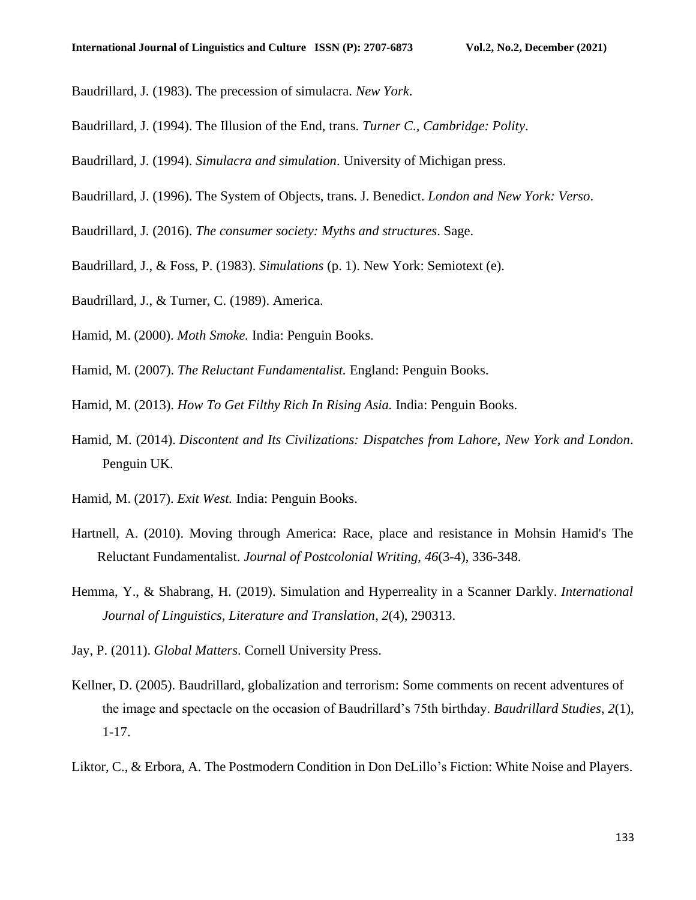- Baudrillard, J. (1983). The precession of simulacra. *New York*.
- Baudrillard, J. (1994). The Illusion of the End, trans. *Turner C., Cambridge: Polity*.
- Baudrillard, J. (1994). *Simulacra and simulation*. University of Michigan press.
- Baudrillard, J. (1996). The System of Objects, trans. J. Benedict. *London and New York: Verso*.
- Baudrillard, J. (2016). *The consumer society: Myths and structures*. Sage.
- Baudrillard, J., & Foss, P. (1983). *Simulations* (p. 1). New York: Semiotext (e).
- Baudrillard, J., & Turner, C. (1989). America.
- Hamid, M. (2000). *Moth Smoke.* India: Penguin Books.
- Hamid, M. (2007). *The Reluctant Fundamentalist.* England: Penguin Books.
- Hamid, M. (2013). *How To Get Filthy Rich In Rising Asia.* India: Penguin Books.
- Hamid, M. (2014). *Discontent and Its Civilizations: Dispatches from Lahore, New York and London*. Penguin UK.
- Hamid, M. (2017). *Exit West.* India: Penguin Books.
- Hartnell, A. (2010). Moving through America: Race, place and resistance in Mohsin Hamid's The Reluctant Fundamentalist. *Journal of Postcolonial Writing*, *46*(3-4), 336-348.
- Hemma, Y., & Shabrang, H. (2019). Simulation and Hyperreality in a Scanner Darkly. *International Journal of Linguistics, Literature and Translation*, *2*(4), 290313.
- Jay, P. (2011). *Global Matters*. Cornell University Press.
- Kellner, D. (2005). Baudrillard, globalization and terrorism: Some comments on recent adventures of the image and spectacle on the occasion of Baudrillard's 75th birthday. *Baudrillard Studies*, *2*(1), 1-17.
- Liktor, C., & Erbora, A. The Postmodern Condition in Don DeLillo's Fiction: White Noise and Players.